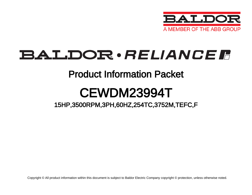

## BALDOR · RELIANCE F

### Product Information Packet

# CEWDM23994T

### 15HP,3500RPM,3PH,60HZ,254TC,3752M,TEFC,F

Copyright © All product information within this document is subject to Baldor Electric Company copyright © protection, unless otherwise noted.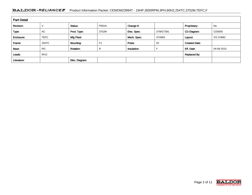#### BALDOR · RELIANCE F Product Information Packet: CEWDM23994T - 15HP,3500RPM,3PH,60HZ,254TC,3752M,TEFC,F

| <b>Part Detail</b> |             |                  |                |             |          |                      |            |  |  |  |
|--------------------|-------------|------------------|----------------|-------------|----------|----------------------|------------|--|--|--|
| Revision:          |             | Status:          | PRD/A          | Change #:   |          | Proprietary:         | No         |  |  |  |
| Type:              | AC          | Prod. Type:      | 3752M          | Elec. Spec: | 37WGT381 | CD Diagram:          | CD0005     |  |  |  |
| Enclosure:         | <b>TEFC</b> | Mfg Plant:       |                | Mech. Spec: | 37H882   | Layout:              | 37LYH882   |  |  |  |
| Frame:             | 254TC       | Mounting:        | F <sub>1</sub> | Poles:      | 02       | <b>Created Date:</b> |            |  |  |  |
| Base:              | <b>RG</b>   | <b>Rotation:</b> | R              | Insulation: |          | Eff. Date:           | 04-06-2015 |  |  |  |
| Leads:             | 9#12        |                  |                |             |          | <b>Replaced By:</b>  |            |  |  |  |
| Literature:        |             | Elec. Diagram:   |                |             |          |                      |            |  |  |  |

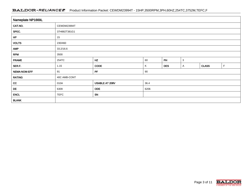#### BALDOR · RELIANCE F Product Information Packet: CEWDM23994T - 15HP,3500RPM,3PH,60HZ,254TC,3752M,TEFC,F

| Nameplate NP1669L |              |                |      |            |   |              |             |  |  |  |  |
|-------------------|--------------|----------------|------|------------|---|--------------|-------------|--|--|--|--|
| CAT.NO.           | CEWDM23994T  |                |      |            |   |              |             |  |  |  |  |
| SPEC.             | 37H882T381G1 |                |      |            |   |              |             |  |  |  |  |
| HP                | 15           |                |      |            |   |              |             |  |  |  |  |
| <b>VOLTS</b>      | 230/460      |                |      |            |   |              |             |  |  |  |  |
| <b>AMP</b>        | 33.2/16.6    |                |      |            |   |              |             |  |  |  |  |
| <b>RPM</b>        | 3500         |                |      |            |   |              |             |  |  |  |  |
| <b>FRAME</b>      | 254TC        | HZ             | 60   | PH         | 3 |              |             |  |  |  |  |
| SER.F.            | 1.15         | CODE           | Κ    | <b>DES</b> | A | <b>CLASS</b> | $\mathsf F$ |  |  |  |  |
| NEMA-NOM-EFF      | 91           | PF             | 90   |            |   |              |             |  |  |  |  |
| <b>RATING</b>     | 40C AMB-CONT |                |      |            |   |              |             |  |  |  |  |
| cc                | 010A         | USABLE AT 208V | 36.4 |            |   |              |             |  |  |  |  |
| DE                | 6309         | <b>ODE</b>     | 6206 |            |   |              |             |  |  |  |  |
| <b>ENCL</b>       | <b>TEFC</b>  | SN             |      |            |   |              |             |  |  |  |  |
| <b>BLANK</b>      |              |                |      |            |   |              |             |  |  |  |  |

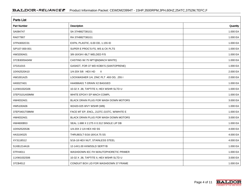| <b>Parts List</b> |                                          |          |  |  |  |  |  |
|-------------------|------------------------------------------|----------|--|--|--|--|--|
| Part Number       | Description                              | Quantity |  |  |  |  |  |
| SA084747          | SA 37H882T381G1                          | 1.000 EA |  |  |  |  |  |
| RA077907          | RA 37H882T381G1                          | 1.000 EA |  |  |  |  |  |
| 37FN3002C01       | EXFN, PLASTIC, 6.00 OD, 1.155 ID         | 1.000 EA |  |  |  |  |  |
| S/P107-000-001    | SUPER E PROC'S-FS, WS & CK PLTS          | 1.000 EA |  |  |  |  |  |
| HW3200A01         | 3/8-16X3/4 I-BLT WELDED F/S              | 1.000 EA |  |  |  |  |  |
| 37CB3005A04W      | CASTING W/.75 NPT@6(MACH WHITE)          | 1.000 EA |  |  |  |  |  |
| 37GS1015          | GASKET, FOR 37 WD KOBX'S (SANTOPRENE)    | 1.000 EA |  |  |  |  |  |
| 10XN2520A10       | 1/4-20X 5/8 HEX HD X                     | 2.000 EA |  |  |  |  |  |
| HW1001A25         | LOCKWASHER 1/4, ZINC PLT .493 OD, .255 I | 2.000 EA |  |  |  |  |  |
| HA5027A01         | HA4066A01 T-DRAIN X2 BAGGED              | 1.000 EA |  |  |  |  |  |
| 11XW1032G06       | 10-32 X .38, TAPTITE II, HEX WSHR SLTD U | 1.000 EA |  |  |  |  |  |
| 37EP3101A59MW     | WHITE EPOXY EP MACH COMPL                | 1.000 EA |  |  |  |  |  |
| HW4032A01         | BLACK DRAIN PLUG FOR WASH DOWN MOTORS    | 3.000 EA |  |  |  |  |  |
| HW5100A06         | W2420-025 WVY WSHR (WB)                  | 1.000 EA |  |  |  |  |  |
| 37EP3401T08MW     | FACE MT EP, ENCL, 213TC-215TC, W/WHITE E | 1.000 EA |  |  |  |  |  |
| HW4032A01         | BLACK DRAIN PLUG FOR WASH DOWN MOTORS    | 3.000 EA |  |  |  |  |  |
| HW4600B53         | SEAL 1.688 X 2.275 X 0.312 SINGLE LIP DB | 1.000 EA |  |  |  |  |  |
| 10XN2520S36       | 1/4-20X 2 1/4 HEX HD SS                  | 4.000 EA |  |  |  |  |  |
| HA3104S25         | THRUBOLT-5/16-18X14.75 SS                | 4.000 EA |  |  |  |  |  |
| XY3118S12         | 5/16-18 HEX NUT, STAINLESS STEEL         | 4.000 EA |  |  |  |  |  |
| 51XB1214A16       | 12-14X1.00 HXWSSLD SERTYB                | 1.000 EA |  |  |  |  |  |
| 07FH4011          | WASHDOWN IEC FH W/AUTOPHORETIC PRIMER    | 1.000 EA |  |  |  |  |  |
| 11XW1032S06       | 10-32 X .38, TAPTITE II, HEX WSHR SLTD U | 3.000 EA |  |  |  |  |  |
| 37CB4512          | CONDUIT BOX LID FOR WASHDOWN 37 FRAME    | 1.000 EA |  |  |  |  |  |

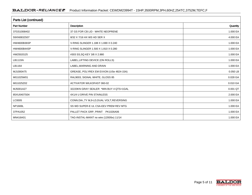| <b>Parts List (continued)</b> |                                             |          |  |  |  |  |  |
|-------------------------------|---------------------------------------------|----------|--|--|--|--|--|
| <b>Part Number</b>            | Description                                 | Quantity |  |  |  |  |  |
| 37GS1008A02                   | 37 GS FOR CB LID - WHITE NEOPRENE           | 1.000 EA |  |  |  |  |  |
| 59XN0832S07                   | 8/32 X 7/16 HX WS HD SER X                  | 4.000 EA |  |  |  |  |  |
| HW4600B36SP                   | V-RING SLINGER 1.188 X 1.690 X 0.240        | 1.000 EA |  |  |  |  |  |
| <b>HW4600B44SP</b>            | V-RING SLINGER 1.500 X 1.810 X 0.280        | 1.000 EA |  |  |  |  |  |
| HW2502G25                     | #303 SS, SQ KEY 3/8 X 2.880                 | 1.000 EA |  |  |  |  |  |
| LB1115N                       | LABEL, LIFTING DEVICE (ON ROLLS)            | 1.000 EA |  |  |  |  |  |
| LB1164                        | LABEL, WARNING AND DRAIN                    | 1.000 EA |  |  |  |  |  |
| MJ1000A75                     | GREASE, POLYREX EM EXXON (USe 4824-15A)     | 0.050 LB |  |  |  |  |  |
| MG1025W01                     | RAL9003, SIGNAL WHITE, GLOSS 85             | 0.028 GA |  |  |  |  |  |
| MG1025Z02                     | ACTIVATOR WILKOFAST 060-02                  | 0.010 GA |  |  |  |  |  |
| MJ5001A27                     | 32220KN GRAY SEALER *MIN BUY 4 QTS=1GAL     | 0.001 QT |  |  |  |  |  |
| 85XU0407S04                   | 4X1/4 U DRIVE PIN STAINLESS                 | 2.000 EA |  |  |  |  |  |
| LC0005                        | CONN.DIA., TY M, 9-LD, DUAL VOLT, REVERSING | 1.000 EA |  |  |  |  |  |
| NP1669L                       | SS WD SUPER-E UL CSA-EEV PREM REV MTG       | 1.000 EA |  |  |  |  |  |
| 37PA1052                      | PALLET PACK GRP, PRINT PK1026A06            | 1.000 EA |  |  |  |  |  |
| MN416A01                      | TAG-INSTAL-MAINT no wire (1200/bx) 11/14    | 1.000 EA |  |  |  |  |  |

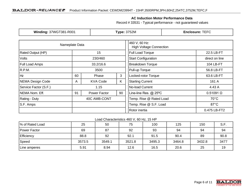#### **AC Induction Motor Performance Data**

Record # 33531 - Typical performance - not guaranteed values

| <b>Winding: 37WGT381-R001</b> |                  |                 |                                                 | <b>Type: 3752M</b>      | <b>Enclosure: TEFC</b> |  |  |
|-------------------------------|------------------|-----------------|-------------------------------------------------|-------------------------|------------------------|--|--|
| Nameplate Data                |                  |                 | 460 V, 60 Hz:<br><b>High Voltage Connection</b> |                         |                        |  |  |
| Rated Output (HP)<br>15       |                  |                 |                                                 | <b>Full Load Torque</b> | 22.5 LB-FT             |  |  |
| Volts                         |                  | 230/460         |                                                 |                         | direct on line         |  |  |
| Full Load Amps                |                  | 33.2/16.6       |                                                 | <b>Breakdown Torque</b> | 104 LB-FT              |  |  |
| R.P.M.                        |                  | 3500            |                                                 | Pull-up Torque          | 56.8 LB-FT             |  |  |
| Hz                            | 3<br>60<br>Phase |                 | Locked-rotor Torque                             | 63.6 LB-FT              |                        |  |  |
| <b>NEMA Design Code</b>       | Α                | <b>KVA Code</b> | K                                               | <b>Starting Current</b> | 161 A                  |  |  |
| Service Factor (S.F.)         | 1.15             |                 |                                                 | No-load Current         | 4.43 A                 |  |  |
| NEMA Nom. Eff.                |                  | Power Factor    | 90                                              | Line-line Res. @ 25°C   | $0.51091$ $\Omega$     |  |  |
| Rating - Duty                 |                  | 40C AMB-CONT    |                                                 | Temp. Rise @ Rated Load | $70^{\circ}$ C         |  |  |
| S.F. Amps                     |                  |                 |                                                 | Temp. Rise @ S.F. Load  | $87^{\circ}$ C         |  |  |
|                               |                  |                 |                                                 | Rotor inertia           | 0.475 LB-FT2           |  |  |

#### Load Characteristics 460 V, 60 Hz, 15 HP

| 1% of Rated Load  | 25     | 50     | 75     | 100    | 125    | 150    | S.F. |
|-------------------|--------|--------|--------|--------|--------|--------|------|
| Power Factor      | 69     | 87     | 92     | 93     | 94     | 94     | 94   |
| <b>Efficiency</b> | 88.8   | 92     | 92.1   | 91.5   | 90.4   | 89     | 90.8 |
| Speed             | 3573.5 | 3549.1 | 3521.8 | 3495.3 | 3464.8 | 3432.8 | 3477 |
| Line amperes      | 5.91   | 8.94   | 12.6   | 16.5   | 20.6   | 25     | 19   |

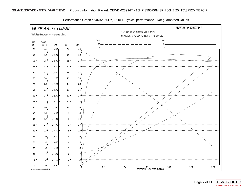

Performance Graph at 460V, 60Hz, 15.0HP Typical performance - Not guaranteed values

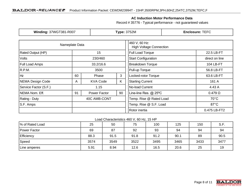#### **AC Induction Motor Performance Data**

Record # 35776 - Typical performance - not guaranteed values

| <b>Winding: 37WGT381-R007</b> |                  |                 |                                                 | <b>Type: 3752M</b>      | <b>Enclosure: TEFC</b> |  |  |
|-------------------------------|------------------|-----------------|-------------------------------------------------|-------------------------|------------------------|--|--|
| Nameplate Data                |                  |                 | 460 V, 60 Hz:<br><b>High Voltage Connection</b> |                         |                        |  |  |
| Rated Output (HP)             |                  | 15              |                                                 | <b>Full Load Torque</b> | 22.5 LB-FT             |  |  |
| <b>Volts</b>                  |                  | 230/460         |                                                 |                         | direct on line         |  |  |
| <b>Full Load Amps</b>         |                  | 33.2/16.6       |                                                 | <b>Breakdown Torque</b> | 104 LB-FT              |  |  |
| R.P.M.                        |                  | 3500            |                                                 |                         | 56.8 LB-FT             |  |  |
| Hz                            | 3<br>60<br>Phase |                 | Locked-rotor Torque                             | 63.6 LB-FT              |                        |  |  |
| NEMA Design Code              | A                | <b>KVA Code</b> | K                                               | <b>Starting Current</b> | 161 A                  |  |  |
| Service Factor (S.F.)         | 1.15             |                 |                                                 | No-load Current         | 4.43 A                 |  |  |
| NEMA Nom. Eff.                |                  | Power Factor    | 90                                              | Line-line Res. @ 25°C   | $0.479 \Omega$         |  |  |
| Rating - Duty                 |                  | 40C AMB-CONT    |                                                 | Temp. Rise @ Rated Load | $70^{\circ}$ C         |  |  |
| S.F. Amps                     |                  |                 |                                                 | Temp. Rise @ S.F. Load  | $87^{\circ}$ C         |  |  |
|                               |                  |                 |                                                 | Rotor inertia           | 0.475 LB-FT2           |  |  |

#### Load Characteristics 460 V, 60 Hz, 15 HP

| % of Rated Load | 25   | 50   | 75   | 100  | 125  | 150  | S.F. |
|-----------------|------|------|------|------|------|------|------|
| Power Factor    | 69   | 87   | 92   | 93   | 94   | 94   | 94   |
| Efficiency      | 88.3 | 91.5 | 91.8 | 91.2 | 90.1 | 89   | 90.5 |
| Speed           | 3574 | 3549 | 3522 | 3495 | 3465 | 3433 | 3477 |
| Line amperes    | 5.91 | 8.94 | 12.6 | 16.5 | 20.6 | 25   | 19   |

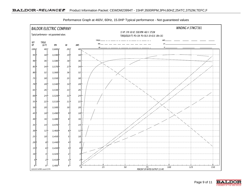

Performance Graph at 460V, 60Hz, 15.0HP Typical performance - Not guaranteed values

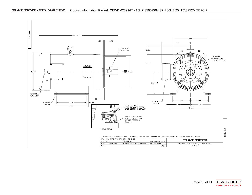